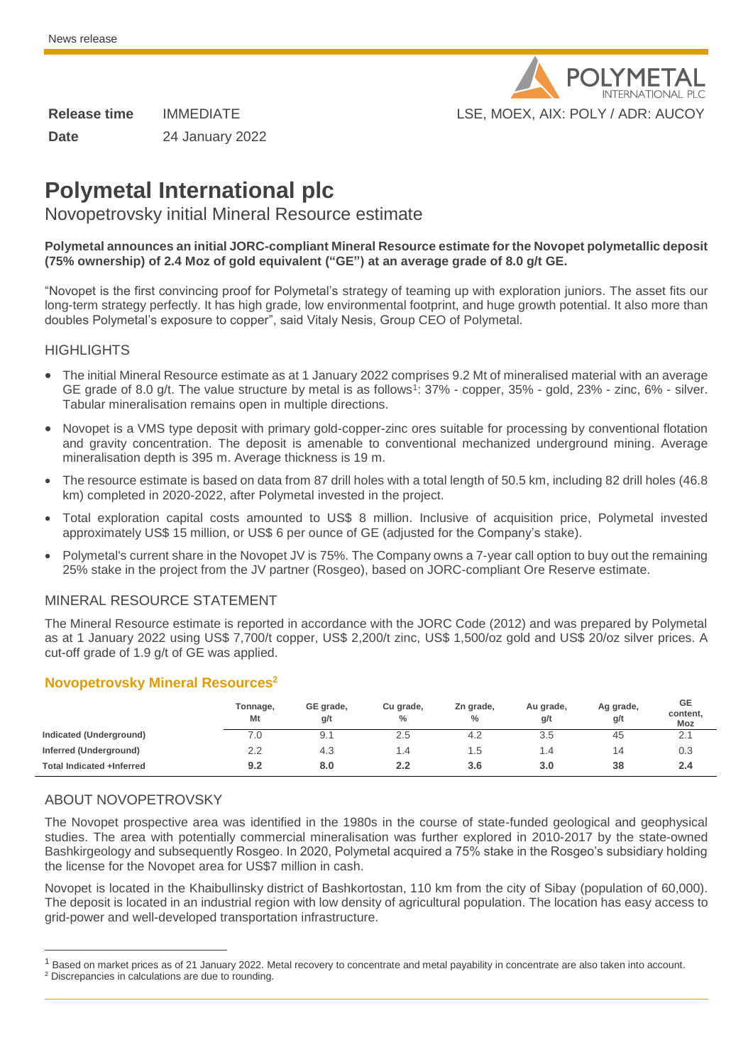

**Date** 24 January 2022

# **Polymetal International plc**

## Novopetrovsky initial Mineral Resource estimate

#### **Polymetal announces an initial JORC-compliant Mineral Resource estimate for the Novopet polymetallic deposit (75% ownership) of 2.4 Moz of gold equivalent ("GE") at an average grade of 8.0 g/t GE.**

"Novopet is the first convincing proof for Polymetal's strategy of teaming up with exploration juniors. The asset fits our long-term strategy perfectly. It has high grade, low environmental footprint, and huge growth potential. It also more than doubles Polymetal's exposure to copper", said Vitaly Nesis, Group CEO of Polymetal.

#### **HIGHLIGHTS**

- The initial Mineral Resource estimate as at 1 January 2022 comprises 9.2 Mt of mineralised material with an average GE grade of 8.0 g/t. The value structure by metal is as follows<sup>1</sup>: 37% - copper, 35% - gold, 23% - zinc, 6% - silver. Tabular mineralisation remains open in multiple directions.
- Novopet is a VMS type deposit with primary gold-copper-zinc ores suitable for processing by conventional flotation and gravity concentration. The deposit is amenable to conventional mechanized underground mining. Average mineralisation depth is 395 m. Average thickness is 19 m.
- The resource estimate is based on data from 87 drill holes with a total length of 50.5 km, including 82 drill holes (46.8 km) completed in 2020-2022, after Polymetal invested in the project.
- Total exploration capital costs amounted to US\$ 8 million. Inclusive of acquisition price, Polymetal invested approximately US\$ 15 million, or US\$ 6 per ounce of GE (adjusted for the Company's stake).
- Polymetal's current share in the Novopet JV is 75%. The Company owns a 7-year call option to buy out the remaining 25% stake in the project from the JV partner (Rosgeo), based on JORC-compliant Ore Reserve estimate.

### MINERAL RESOURCE STATEMENT

The Mineral Resource estimate is reported in accordance with the JORC Code (2012) and was prepared by Polymetal as at 1 January 2022 using US\$ 7,700/t copper, US\$ 2,200/t zinc, US\$ 1,500/oz gold and US\$ 20/oz silver prices. A cut-off grade of 1.9 g/t of GE was applied.

### **Novopetrovsky Mineral Resources<sup>2</sup>**

|                           | Tonnage,<br>Mt | GE grade,<br>g/t | Cu grade,<br>% | Zn grade,<br>% | Au grade,<br>g/t | Ag grade,<br>g/t | GE<br>content,<br>Moz |
|---------------------------|----------------|------------------|----------------|----------------|------------------|------------------|-----------------------|
| Indicated (Underground)   | 0.'            | 9.1              | 2.5            | 4.2            | 3.5              | 45               | 2.1                   |
| Inferred (Underground)    | 2.2            | 4.3              | 4٠،            | l.5            | 1.4              | 14               | 0.3                   |
| Total Indicated +Inferred | 9.2            | 8.0              | 2.2            | 3.6            | 3.0              | 38               | 2.4                   |

### ABOUT NOVOPETROVSKY

j

The Novopet prospective area was identified in the 1980s in the course of state-funded geological and geophysical studies. The area with potentially commercial mineralisation was further explored in 2010-2017 by the state-owned Bashkirgeology and subsequently Rosgeo. In 2020, Polymetal acquired a 75% stake in the Rosgeo's subsidiary holding the license for the Novopet area for US\$7 million in cash.

Novopet is located in the Khaibullinsky district of Bashkortostan, 110 km from the city of Sibay (population of 60,000). The deposit is located in an industrial region with low density of agricultural population. The location has easy access to grid-power and well-developed transportation infrastructure.

<sup>&</sup>lt;sup>1</sup> Based on market prices as of 21 January 2022. Metal recovery to concentrate and metal payability in concentrate are also taken into account.

<sup>2</sup> Discrepancies in calculations are due to rounding.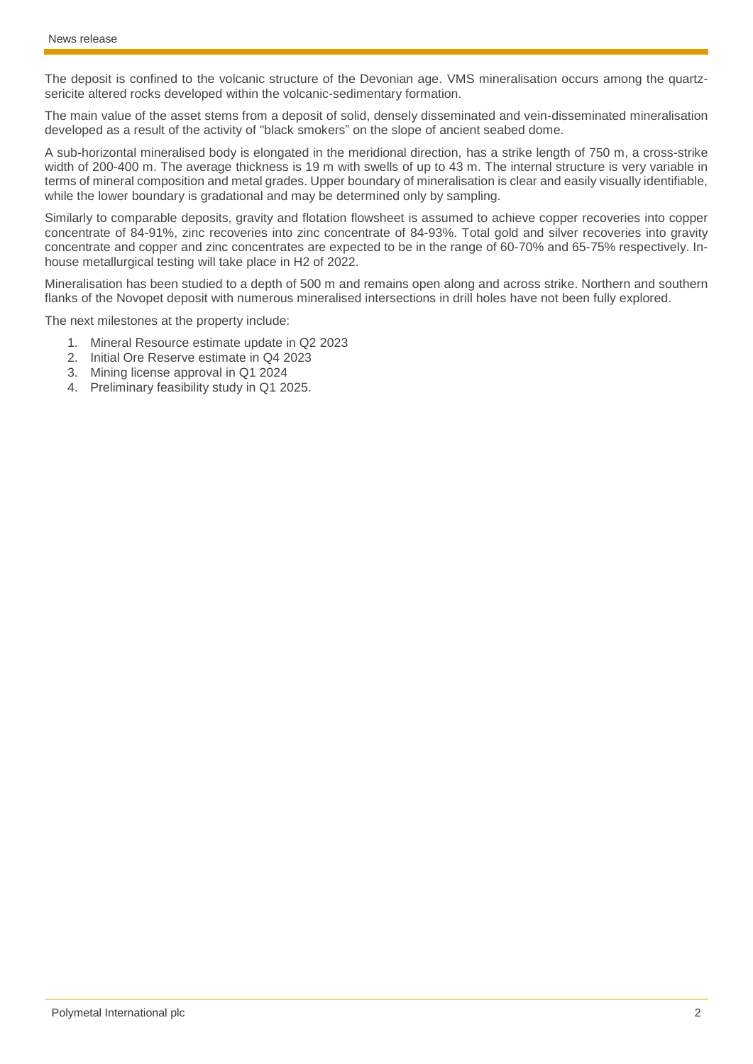The deposit is confined to the volcanic structure of the Devonian age. VMS mineralisation occurs among the quartzsericite altered rocks developed within the volcanic-sedimentary formation.

The main value of the asset stems from a deposit of solid, densely disseminated and vein-disseminated mineralisation developed as a result of the activity of "black smokers" on the slope of ancient seabed dome.

A sub-horizontal mineralised body is elongated in the meridional direction, has a strike length of 750 m, a cross-strike width of 200-400 m. The average thickness is 19 m with swells of up to 43 m. The internal structure is very variable in terms of mineral composition and metal grades. Upper boundary of mineralisation is clear and easily visually identifiable, while the lower boundary is gradational and may be determined only by sampling.

Similarly to comparable deposits, gravity and flotation flowsheet is assumed to achieve copper recoveries into copper concentrate of 84-91%, zinc recoveries into zinc concentrate of 84-93%. Total gold and silver recoveries into gravity concentrate and copper and zinc concentrates are expected to be in the range of 60-70% and 65-75% respectively. Inhouse metallurgical testing will take place in H2 of 2022.

Mineralisation has been studied to a depth of 500 m and remains open along and across strike. Northern and southern flanks of the Novopet deposit with numerous mineralised intersections in drill holes have not been fully explored.

The next milestones at the property include:

- 1. Mineral Resource estimate update in Q2 2023
- 2. Initial Ore Reserve estimate in Q4 2023
- 3. Mining license approval in Q1 2024
- 4. Preliminary feasibility study in Q1 2025.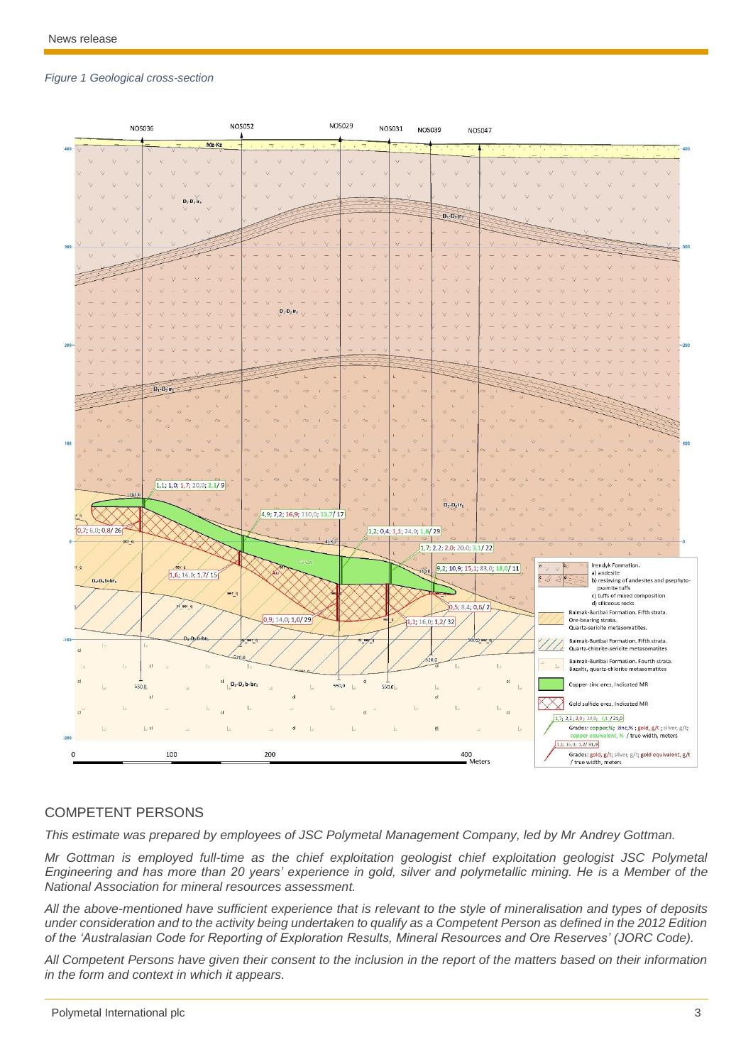#### *Figure 1 Geological cross-section*



#### COMPETENT PERSONS

*This estimate was prepared by employees of JSC Polymetal Management Company, led by Mr Andrey Gottman.*

*Mr Gottman is employed full-time as the chief exploitation geologist chief exploitation geologist JSC Polymetal Engineering and has more than 20 years' experience in gold, silver and polymetallic mining. He is a Member of the National Association for mineral resources assessment.*

*All the above-mentioned have sufficient experience that is relevant to the style of mineralisation and types of deposits under consideration and to the activity being undertaken to qualify as a Competent Person as defined in the 2012 Edition of the 'Australasian Code for Reporting of Exploration Results, Mineral Resources and Ore Reserves' (JORC Code).*

*All Competent Persons have given their consent to the inclusion in the report of the matters based on their information in the form and context in which it appears.*